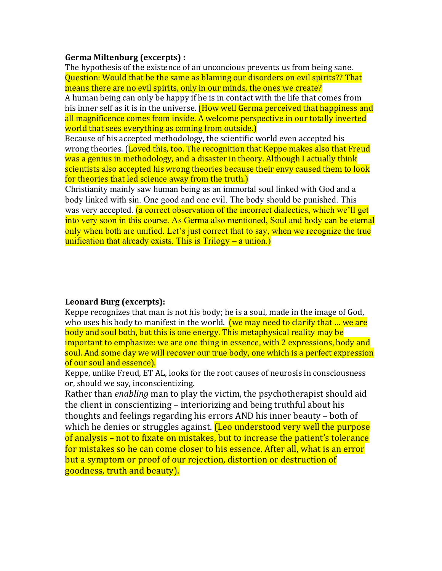## **Germa Miltenburg (excerpts):**

The hypothesis of the existence of an unconcious prevents us from being sane. Question: Would that be the same as blaming our disorders on evil spirits?? That means there are no evil spirits, only in our minds, the ones we create? A human being can only be happy if he is in contact with the life that comes from his inner self as it is in the universe. (How well Germa perceived that happiness and all magnificence comes from inside. A welcome perspective in our totally inverted world that sees everything as coming from outside.)

Because of his accepted methodology, the scientific world even accepted his wrong theories. (Loved this, too. The recognition that Keppe makes also that Freud was a genius in methodology, and a disaster in theory. Although I actually think scientists also accepted his wrong theories because their envy caused them to look for theories that led science away from the truth.)

Christianity mainly saw human being as an immortal soul linked with God and a body linked with sin. One good and one evil. The body should be punished. This was very accepted. (a correct observation of the incorrect dialectics, which we'll get into very soon in this course. As Germa also mentioned, Soul and body can be eternal only when both are unified. Let's just correct that to say, when we recognize the true unification that already exists. This is  $Trilogy - a union.$ 

# **Leonard Burg (excerpts):**

Keppe recognizes that man is not his body; he is a soul, made in the image of God, who uses his body to manifest in the world. **(we may need to clarify that ... we are** body and soul both, but this is one energy. This metaphysical reality may be important to emphasize: we are one thing in essence, with 2 expressions, body and soul. And some day we will recover our true body, one which is a perfect expression of our soul and essence).

Keppe, unlike Freud, ET AL, looks for the root causes of neurosis in consciousness or, should we say, inconscientizing.

Rather than *enabling* man to play the victim, the psychotherapist should aid the client in conscientizing – interiorizing and being truthful about his thoughts and feelings regarding his errors AND his inner beauty – both of which he denies or struggles against. (Leo understood very well the purpose of analysis  $-$  not to fixate on mistakes, but to increase the patient's tolerance for mistakes so he can come closer to his essence. After all, what is an error but a symptom or proof of our rejection, distortion or destruction of goodness, truth and beauty).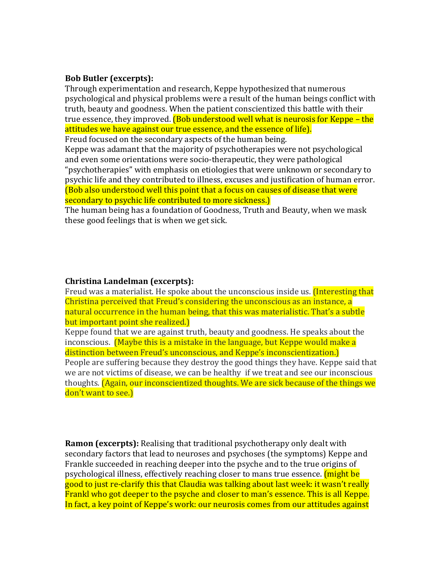### **Bob** Butler (excerpts):

Through experimentation and research, Keppe hypothesized that numerous psychological and physical problems were a result of the human beings conflict with truth, beauty and goodness. When the patient conscientized this battle with their true essence, they improved. (Bob understood well what is neurosis for Keppe – the attitudes we have against our true essence, and the essence of life). Freud focused on the secondary aspects of the human being.

Keppe was adamant that the majority of psychotherapies were not psychological and even some orientations were socio-therapeutic, they were pathological

"psychotherapies" with emphasis on etiologies that were unknown or secondary to psychic life and they contributed to illness, excuses and justification of human error. (Bob also understood well this point that a focus on causes of disease that were secondary to psychic life contributed to more sickness.)

The human being has a foundation of Goodness, Truth and Beauty, when we mask these good feelings that is when we get sick.

#### **Christina Landelman (excerpts):**

Freud was a materialist. He spoke about the unconscious inside us. *(Interesting that*) Christina perceived that Freud's considering the unconscious as an instance, a natural occurrence in the human being, that this was materialistic. That's a subtle but important point she realized.)

Keppe found that we are against truth, beauty and goodness. He speaks about the inconscious. **(Maybe this is a mistake in the language, but Keppe would make a** distinction between Freud's unconscious, and Keppe's inconscientization. People are suffering because they destroy the good things they have. Keppe said that we are not victims of disease, we can be healthy if we treat and see our inconscious thoughts. **(Again, our inconscientized thoughts.** We are sick because of the things we don't want to see.)

**Ramon (excerpts):** Realising that traditional psychotherapy only dealt with secondary factors that lead to neuroses and psychoses (the symptoms) Keppe and Frankle succeeded in reaching deeper into the psyche and to the true origins of psychological illness, effectively reaching closer to mans true essence. (might be good to just re-clarify this that Claudia was talking about last week: it wasn't really Frankl who got deeper to the psyche and closer to man's essence. This is all Keppe. In fact, a key point of Keppe's work: our neurosis comes from our attitudes against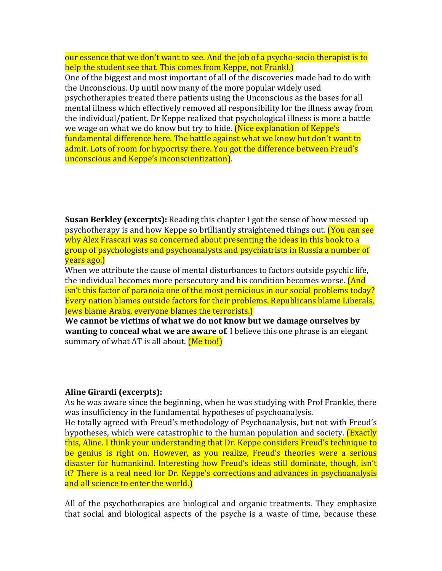our essence that we don't want to see. And the job of a psycho-socio therapist is to help the student see that. This comes from Keppe, not Frankl.)

One of the biggest and most important of all of the discoveries made had to do with the Unconscious. Up until now many of the more popular widely used psychotherapies treated there patients using the Unconscious as the bases for all mental illness which effectively removed all responsibility for the illness away from the individual/patient. Dr Keppe realized that psychological illness is more a battle we wage on what we do know but try to hide. **(Nice explanation of Keppe's** fundamental difference here. The battle against what we know but don't want to admit. Lots of room for hypocrisy there. You got the difference between Freud's unconscious and Keppe's inconscientization).

**Susan Berkley (excerpts):** Reading this chapter I got the sense of how messed up psychotherapy is and how Keppe so brilliantly straightened things out. (You can see why Alex Frascari was so concerned about presenting the ideas in this book to a group of psychologists and psychoanalysts and psychiatrists in Russia a number of vears ago.)

When we attribute the cause of mental disturbances to factors outside psychic life, the individual becomes more persecutory and his condition becomes worse. **(And** isn't this factor of paranoia one of the most pernicious in our social problems today? Every nation blames outside factors for their problems. Republicans blame Liberals, **Jews blame Arabs, everyone blames the terrorists.**)

We cannot be victims of what we do not know but we damage ourselves by **wanting to conceal what we are aware of.** I believe this one phrase is an elegant summary of what AT is all about.  $(Me \text{ too!})$ 

#### Aline Girardi (excerpts):

As he was aware since the beginning, when he was studying with Prof Frankle, there was insufficiency in the fundamental hypotheses of psychoanalysis.

He totally agreed with Freud's methodology of Psychoanalysis, but not with Freud's hypotheses, which were catastrophic to the human population and society. **(Exactly** this, Aline. I think your understanding that Dr. Keppe considers Freud's technique to be genius is right on. However, as you realize, Freud's theories were a serious disaster for humankind. Interesting how Freud's ideas still dominate, though, isn't it? There is a real need for Dr. Keppe's corrections and advances in psychoanalysis and all science to enter the world.

All of the psychotherapies are biological and organic treatments. They emphasize that social and biological aspects of the psyche is a waste of time, because these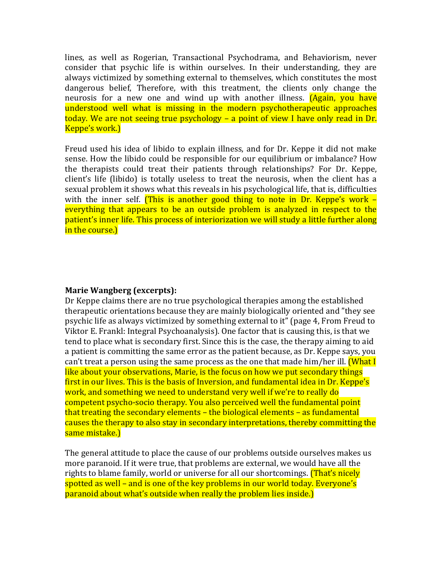lines, as well as Rogerian, Transactional Psychodrama, and Behaviorism, never consider that psychic life is within ourselves. In their understanding, they are always victimized by something external to themselves, which constitutes the most dangerous belief, Therefore, with this treatment, the clients only change the neurosis for a new one and wind up with another illness. (Again, you have understood well what is missing in the modern psychotherapeutic approaches today. We are not seeing true psychology – a point of view I have only read in Dr. Keppe's work.)

Freud used his idea of libido to explain illness, and for Dr. Keppe it did not make sense. How the libido could be responsible for our equilibrium or imbalance? How the therapists could treat their patients through relationships? For Dr. Keppe, client's life (libido) is totally useless to treat the neurosis, when the client has a sexual problem it shows what this reveals in his psychological life, that is, difficulties with the inner self. (This is another good thing to note in Dr. Keppe's work  $$ everything that appears to be an outside problem is analyzed in respect to the patient's inner life. This process of interiorization we will study a little further along in the course.)

## **Marie Wangberg (excerpts):**

Dr Keppe claims there are no true psychological therapies among the established therapeutic orientations because they are mainly biologically oriented and "they see psychic life as always victimized by something external to it" (page 4, From Freud to Viktor E. Frankl: Integral Psychoanalysis). One factor that is causing this, is that we tend to place what is secondary first. Since this is the case, the therapy aiming to aid a patient is committing the same error as the patient because, as Dr. Keppe says, you can't treat a person using the same process as the one that made him/her ill. **(What I** like about your observations, Marie, is the focus on how we put secondary things first in our lives. This is the basis of Inversion, and fundamental idea in Dr. Keppe's work, and something we need to understand very well if we're to really do competent psycho-socio therapy. You also perceived well the fundamental point that treating the secondary elements – the biological elements – as fundamental causes the therapy to also stay in secondary interpretations, thereby committing the same mistake.)

The general attitude to place the cause of our problems outside ourselves makes us more paranoid. If it were true, that problems are external, we would have all the rights to blame family, world or universe for all our shortcomings. **(That's nicely** spotted as well – and is one of the key problems in our world today. Everyone's paranoid about what's outside when really the problem lies inside.)